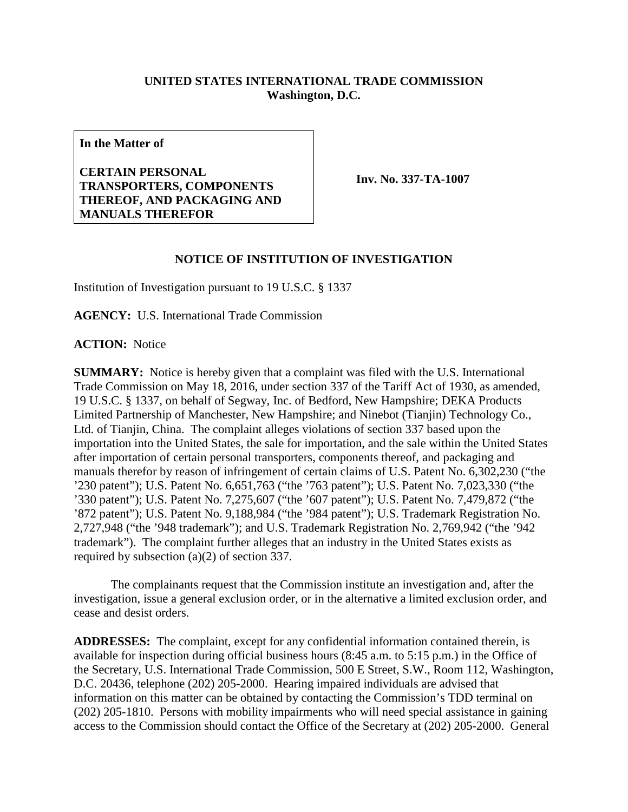## **UNITED STATES INTERNATIONAL TRADE COMMISSION Washington, D.C.**

**In the Matter of**

**CERTAIN PERSONAL TRANSPORTERS, COMPONENTS THEREOF, AND PACKAGING AND MANUALS THEREFOR**

**Inv. No. 337-TA-1007**

## **NOTICE OF INSTITUTION OF INVESTIGATION**

Institution of Investigation pursuant to 19 U.S.C. § 1337

**AGENCY:** U.S. International Trade Commission

**ACTION:** Notice

**SUMMARY:** Notice is hereby given that a complaint was filed with the U.S. International Trade Commission on May 18, 2016, under section 337 of the Tariff Act of 1930, as amended, 19 U.S.C. § 1337, on behalf of Segway, Inc. of Bedford, New Hampshire; DEKA Products Limited Partnership of Manchester, New Hampshire; and Ninebot (Tianjin) Technology Co., Ltd. of Tianjin, China. The complaint alleges violations of section 337 based upon the importation into the United States, the sale for importation, and the sale within the United States after importation of certain personal transporters, components thereof, and packaging and manuals therefor by reason of infringement of certain claims of U.S. Patent No. 6,302,230 ("the '230 patent"); U.S. Patent No. 6,651,763 ("the '763 patent"); U.S. Patent No. 7,023,330 ("the '330 patent"); U.S. Patent No. 7,275,607 ("the '607 patent"); U.S. Patent No. 7,479,872 ("the '872 patent"); U.S. Patent No. 9,188,984 ("the '984 patent"); U.S. Trademark Registration No. 2,727,948 ("the '948 trademark"); and U.S. Trademark Registration No. 2,769,942 ("the '942 trademark"). The complaint further alleges that an industry in the United States exists as required by subsection (a)(2) of section 337.

The complainants request that the Commission institute an investigation and, after the investigation, issue a general exclusion order, or in the alternative a limited exclusion order, and cease and desist orders.

**ADDRESSES:** The complaint, except for any confidential information contained therein, is available for inspection during official business hours (8:45 a.m. to 5:15 p.m.) in the Office of the Secretary, U.S. International Trade Commission, 500 E Street, S.W., Room 112, Washington, D.C. 20436, telephone (202) 205-2000. Hearing impaired individuals are advised that information on this matter can be obtained by contacting the Commission's TDD terminal on (202) 205-1810. Persons with mobility impairments who will need special assistance in gaining access to the Commission should contact the Office of the Secretary at (202) 205-2000. General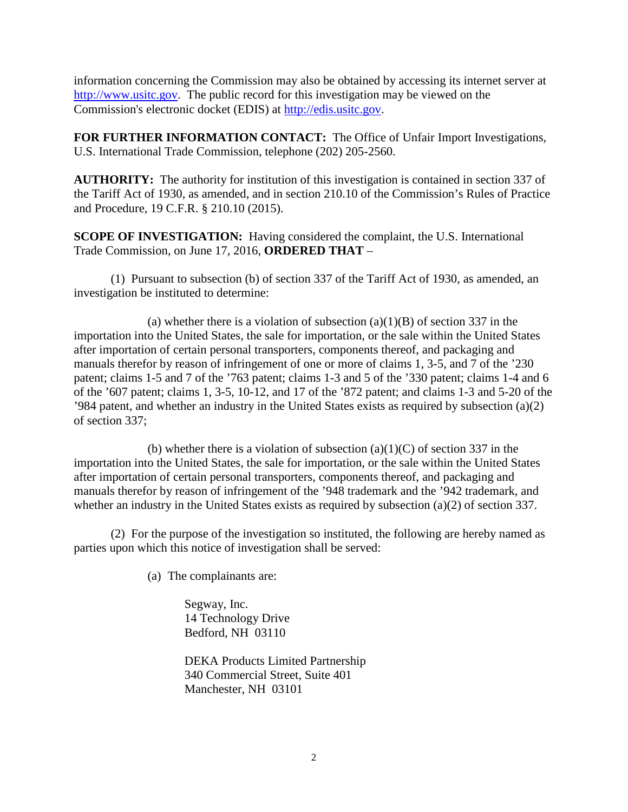information concerning the Commission may also be obtained by accessing its internet server at [http://www.usitc.gov.](http://www.usitc.gov/) The public record for this investigation may be viewed on the Commission's electronic docket (EDIS) at [http://edis.usitc.gov.](http://edis.usitc.gov/)

**FOR FURTHER INFORMATION CONTACT:** The Office of Unfair Import Investigations, U.S. International Trade Commission, telephone (202) 205-2560.

**AUTHORITY:** The authority for institution of this investigation is contained in section 337 of the Tariff Act of 1930, as amended, and in section 210.10 of the Commission's Rules of Practice and Procedure, 19 C.F.R. § 210.10 (2015).

**SCOPE OF INVESTIGATION:** Having considered the complaint, the U.S. International Trade Commission, on June 17, 2016, **ORDERED THAT** –

(1) Pursuant to subsection (b) of section 337 of the Tariff Act of 1930, as amended, an investigation be instituted to determine:

(a) whether there is a violation of subsection  $(a)(1)(B)$  of section 337 in the importation into the United States, the sale for importation, or the sale within the United States after importation of certain personal transporters, components thereof, and packaging and manuals therefor by reason of infringement of one or more of claims 1, 3-5, and 7 of the '230 patent; claims 1-5 and 7 of the '763 patent; claims 1-3 and 5 of the '330 patent; claims 1-4 and 6 of the '607 patent; claims 1, 3-5, 10-12, and 17 of the '872 patent; and claims 1-3 and 5-20 of the '984 patent, and whether an industry in the United States exists as required by subsection (a)(2) of section 337;

(b) whether there is a violation of subsection  $(a)(1)(C)$  of section 337 in the importation into the United States, the sale for importation, or the sale within the United States after importation of certain personal transporters, components thereof, and packaging and manuals therefor by reason of infringement of the '948 trademark and the '942 trademark, and whether an industry in the United States exists as required by subsection (a)(2) of section 337.

(2) For the purpose of the investigation so instituted, the following are hereby named as parties upon which this notice of investigation shall be served:

(a) The complainants are:

Segway, Inc. 14 Technology Drive Bedford, NH 03110

DEKA Products Limited Partnership 340 Commercial Street, Suite 401 Manchester, NH 03101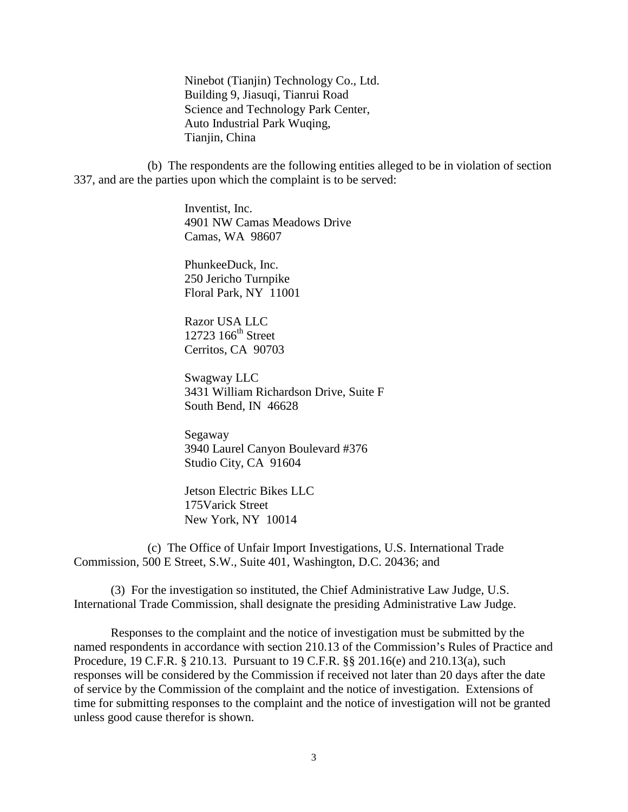Ninebot (Tianjin) Technology Co., Ltd. Building 9, Jiasuqi, Tianrui Road Science and Technology Park Center, Auto Industrial Park Wuqing, Tianjin, China

(b) The respondents are the following entities alleged to be in violation of section 337, and are the parties upon which the complaint is to be served:

> Inventist, Inc. 4901 NW Camas Meadows Drive Camas, WA 98607

PhunkeeDuck, Inc. 250 Jericho Turnpike Floral Park, NY 11001

Razor USA LLC  $12723$   $166$ <sup>th</sup> Street Cerritos, CA 90703

Swagway LLC 3431 William Richardson Drive, Suite F South Bend, IN 46628

Segaway 3940 Laurel Canyon Boulevard #376 Studio City, CA 91604

Jetson Electric Bikes LLC 175Varick Street New York, NY 10014

(c) The Office of Unfair Import Investigations, U.S. International Trade Commission, 500 E Street, S.W., Suite 401, Washington, D.C. 20436; and

(3) For the investigation so instituted, the Chief Administrative Law Judge, U.S. International Trade Commission, shall designate the presiding Administrative Law Judge.

Responses to the complaint and the notice of investigation must be submitted by the named respondents in accordance with section 210.13 of the Commission's Rules of Practice and Procedure, 19 C.F.R. § 210.13. Pursuant to 19 C.F.R. §§ 201.16(e) and 210.13(a), such responses will be considered by the Commission if received not later than 20 days after the date of service by the Commission of the complaint and the notice of investigation. Extensions of time for submitting responses to the complaint and the notice of investigation will not be granted unless good cause therefor is shown.